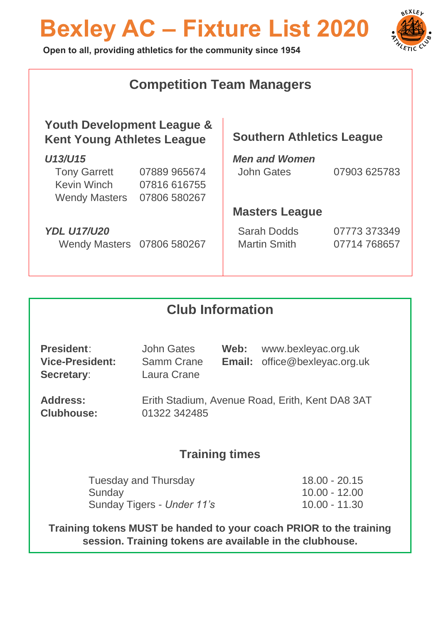# **Bexley AC – Fixture List 2020**



 **Open to all, providing athletics for the community since 1954**

| <b>Competition Team Managers</b>                                |                            |                                  |  |  |  |  |
|-----------------------------------------------------------------|----------------------------|----------------------------------|--|--|--|--|
| Youth Development League &<br><b>Kent Young Athletes League</b> |                            |                                  |  |  |  |  |
|                                                                 | <b>Men and Women</b>       |                                  |  |  |  |  |
| 07889 965674                                                    | John Gates                 | 07903 625783                     |  |  |  |  |
| 07816 616755                                                    |                            |                                  |  |  |  |  |
| 07806 580267                                                    |                            |                                  |  |  |  |  |
|                                                                 | <b>Masters League</b>      |                                  |  |  |  |  |
|                                                                 | <b>Sarah Dodds</b>         | 07773 373349                     |  |  |  |  |
|                                                                 | <b>Martin Smith</b>        | 07714 768657                     |  |  |  |  |
|                                                                 |                            |                                  |  |  |  |  |
|                                                                 | Wendy Masters 07806 580267 | <b>Southern Athletics League</b> |  |  |  |  |

#### **Club Information**

| <b>President:</b>                           | John Gates                | Web: www.bexleyac.org.uk             |
|---------------------------------------------|---------------------------|--------------------------------------|
| <b>Vice-President:</b><br><b>Secretary:</b> | Samm Crane<br>Laura Crane | <b>Email:</b> office@bexleyac.org.uk |

**Address:** Erith Stadium, Avenue Road, Erith, Kent DA8 3AT **Clubhouse:** 01322 342485

#### **Training times**

Tuesday and Thursday 18.00 - 20.15 Sunday 10.00 - 12.00 Sunday Tigers - *Under 11's* 10.00 - 11.30

**Training tokens MUST be handed to your coach PRIOR to the training session. Training tokens are available in the clubhouse.**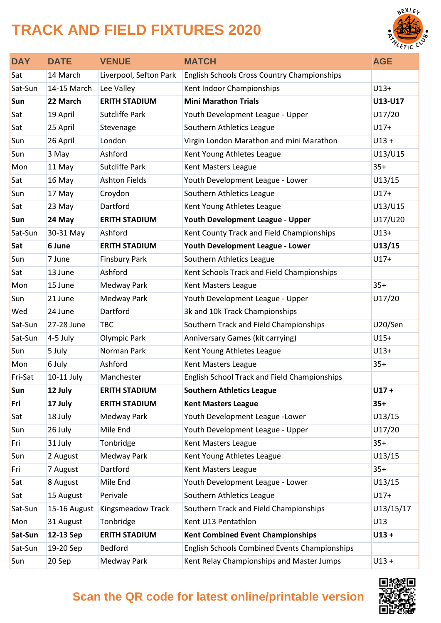### **TRACK AND FIELD FIXTURES 2020**



| <b>DAY</b> | <b>DATE</b>  | <b>VENUE</b>           | <b>MATCH</b>                                         | <b>AGE</b> |
|------------|--------------|------------------------|------------------------------------------------------|------------|
| Sat        | 14 March     | Liverpool, Sefton Park | <b>English Schools Cross Country Championships</b>   |            |
| Sat-Sun    | 14-15 March  | Lee Valley             | Kent Indoor Championships                            | $U13+$     |
| Sun        | 22 March     | <b>ERITH STADIUM</b>   | <b>Mini Marathon Trials</b>                          | U13-U17    |
| Sat        | 19 April     | <b>Sutcliffe Park</b>  | Youth Development League - Upper                     | U17/20     |
| Sat        | 25 April     | Stevenage              | Southern Athletics League                            | $U17+$     |
| Sun        | 26 April     | London                 | Virgin London Marathon and mini Marathon             | $U13 +$    |
| Sun        | 3 May        | Ashford                | Kent Young Athletes League                           | U13/U15    |
| Mon        | 11 May       | <b>Sutcliffe Park</b>  | Kent Masters League                                  | $35+$      |
| Sat        | 16 May       | <b>Ashton Fields</b>   | Youth Development League - Lower                     | U13/15     |
| Sun        | 17 May       | Croydon                | Southern Athletics League                            | $U17+$     |
| Sat        | 23 May       | Dartford               | Kent Young Athletes League                           | U13/U15    |
| Sun        | 24 May       | <b>ERITH STADIUM</b>   | <b>Youth Development League - Upper</b>              | U17/U20    |
| Sat-Sun    | 30-31 May    | Ashford                | Kent County Track and Field Championships            | $U13+$     |
| Sat        | 6 June       | <b>ERITH STADIUM</b>   | Youth Development League - Lower                     | U13/15     |
| Sun        | 7 June       | <b>Finsbury Park</b>   | Southern Athletics League                            | $U17+$     |
| Sat        | 13 June      | Ashford                | Kent Schools Track and Field Championships           |            |
| Mon        | 15 June      | Medway Park            | Kent Masters League                                  | $35+$      |
| Sun        | 21 June      | Medway Park            | Youth Development League - Upper                     | U17/20     |
| Wed        | 24 June      | Dartford               | 3k and 10k Track Championships                       |            |
| Sat-Sun    | 27-28 June   | <b>TBC</b>             | Southern Track and Field Championships               | U20/Sen    |
| Sat-Sun    | 4-5 July     | <b>Olympic Park</b>    | Anniversary Games (kit carrying)                     | $U15+$     |
| Sun        | 5 July       | Norman Park            | Kent Young Athletes League                           | $U13+$     |
| Mon        | 6 July       | Ashford                | Kent Masters League                                  | $35+$      |
| Fri-Sat    | 10-11 July   | Manchester             | English School Track and Field Championships         |            |
| Sun        | 12 July      | <b>ERITH STADIUM</b>   | <b>Southern Athletics League</b>                     | $U17 +$    |
| Fri        | 17 July      | <b>ERITH STADIUM</b>   | <b>Kent Masters League</b>                           | $35+$      |
| Sat        | 18 July      | Medway Park            | Youth Development League -Lower                      | U13/15     |
| Sun        | 26 July      | Mile End               | Youth Development League - Upper                     | U17/20     |
| Fri        | 31 July      | Tonbridge              | Kent Masters League                                  | $35+$      |
| Sun        | 2 August     | Medway Park            | Kent Young Athletes League                           | U13/15     |
| Fri        | 7 August     | Dartford               | Kent Masters League                                  | $35+$      |
| Sat        | 8 August     | Mile End               | Youth Development League - Lower                     | U13/15     |
| Sat        | 15 August    | Perivale               | Southern Athletics League                            | $U17+$     |
| Sat-Sun    | 15-16 August | Kingsmeadow Track      | Southern Track and Field Championships               | U13/15/17  |
| Mon        | 31 August    | Tonbridge              | Kent U13 Pentathlon                                  | U13        |
| Sat-Sun    | 12-13 Sep    | <b>ERITH STADIUM</b>   | <b>Kent Combined Event Championships</b>             | $U13 +$    |
| Sat-Sun    | 19-20 Sep    | <b>Bedford</b>         | <b>English Schools Combined Events Championships</b> |            |
| Sun        | 20 Sep       | Medway Park            | Kent Relay Championships and Master Jumps            | $U13 +$    |



#### **Scan the QR code for latest online/printable version**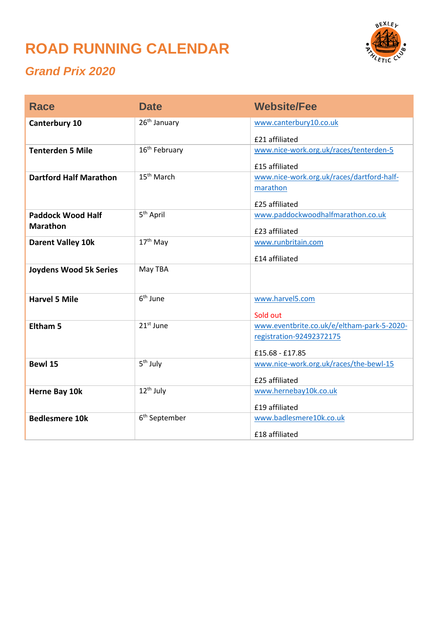### **ROAD RUNNING CALENDAR**



#### *Grand Prix 2020*

| <b>Race</b>                   | <b>Date</b>               | <b>Website/Fee</b>                                     |
|-------------------------------|---------------------------|--------------------------------------------------------|
| Canterbury 10                 | 26 <sup>th</sup> January  | www.canterbury10.co.uk                                 |
|                               |                           | £21 affiliated                                         |
| <b>Tenterden 5 Mile</b>       | 16 <sup>th</sup> February | www.nice-work.org.uk/races/tenterden-5                 |
|                               |                           | £15 affiliated                                         |
| <b>Dartford Half Marathon</b> | 15 <sup>th</sup> March    | www.nice-work.org.uk/races/dartford-half-              |
|                               |                           | marathon                                               |
|                               |                           | £25 affiliated                                         |
| <b>Paddock Wood Half</b>      | 5 <sup>th</sup> April     | www.paddockwoodhalfmarathon.co.uk                      |
| <b>Marathon</b>               |                           | £23 affiliated                                         |
| <b>Darent Valley 10k</b>      | 17 <sup>th</sup> May      | www.runbritain.com                                     |
|                               |                           | £14 affiliated                                         |
| <b>Joydens Wood 5k Series</b> | May TBA                   |                                                        |
|                               |                           |                                                        |
| <b>Harvel 5 Mile</b>          | 6 <sup>th</sup> June      | www.harvel5.com                                        |
|                               |                           |                                                        |
| <b>Eltham 5</b>               | $21st$ June               | Sold out<br>www.eventbrite.co.uk/e/eltham-park-5-2020- |
|                               |                           | registration-92492372175                               |
|                               |                           |                                                        |
|                               |                           | £15.68 - £17.85                                        |
| Bewl 15                       | 5 <sup>th</sup> July      | www.nice-work.org.uk/races/the-bewl-15                 |
|                               |                           | £25 affiliated                                         |
| Herne Bay 10k                 | $12th$ July               | www.hernebay10k.co.uk                                  |
|                               |                           | £19 affiliated                                         |
| <b>Bedlesmere 10k</b>         | 6 <sup>th</sup> September | www.badlesmere10k.co.uk                                |
|                               |                           | £18 affiliated                                         |